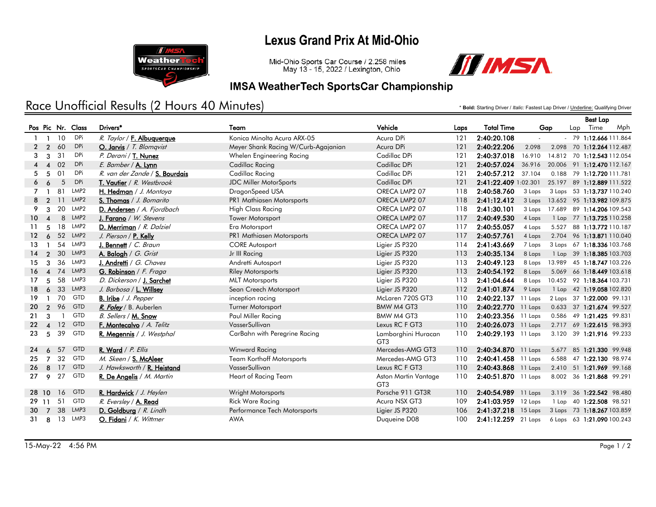# **Lexus Grand Prix At Mid-Ohio**



Mid-Ohio Sports Car Course / 2.258 miles May 13 - 15, 2022 / Lexington, Ohio



#### **IMSA WeatherTech SportsCar Championship**

# Race Unofficial Results (2 Hours 40 Minutes)

\* **Bold:** Starting Driver / *Italic:* Fastest Lap Driver / Underline: Qualifying Driver

|                 |                        |             |                  |                                |                                     |                                         |      |                       |           | <b>Best Lap</b> |                            |        |
|-----------------|------------------------|-------------|------------------|--------------------------------|-------------------------------------|-----------------------------------------|------|-----------------------|-----------|-----------------|----------------------------|--------|
|                 |                        | Pos Pic Nr. | Class            | Drivers*                       | Team                                | Vehicle                                 | Laps | <b>Total Time</b>     | Gap       | Lap             | Time                       | Mph    |
|                 |                        | 10          | <b>DPi</b>       | R. Taylor / F. Albuquerque     | Konica Minolta Acura ARX-05         | Acura DPi                               | 121  | 2:40:20.108           | $\sim$    |                 | $-79$ 1:12.666 111.864     |        |
| 2               | $\overline{2}$         | 60          | <b>DPi</b>       | O. Jarvis / T. Blomqvist       | Meyer Shank Racing W/Curb-Agajanian | Acura DPi                               | 121  | 2:40:22.206           | 2.098     |                 | 2.098 70 1:12.264 112.487  |        |
| 3               | 3                      | 31          | DPi              | P. Derani / T. Nunez           | Whelen Engineering Racing           | Cadillac DPi                            | 121  | 2:40:37.018           | 16.910    |                 | 14.812 70 1:12.543 112.054 |        |
|                 | $\boldsymbol{\Lambda}$ | 02          | <b>DPi</b>       | E. Bamber / A. Lynn            | Cadillac Racing                     | Cadillac DPi                            | 121  | 2:40:57.024           | 36.916    |                 | 20.006 91 1:12.470 112.167 |        |
| 5.              | -5                     | 01          | <b>DPi</b>       | R. van der Zande / S. Bourdais | Cadillac Racing                     | Cadillac DPi                            | 121  | 2:40:57.212           | 37.104    |                 | 0.188 79 1:12.720 111.781  |        |
| 6               | 6                      | 5           | <b>DPi</b>       | T. Vautier / R. Westbrook      | <b>JDC Miller MotorSports</b>       | Cadillac DPi                            | 121  | 2:41:22.409 1:02.301  |           |                 | 25.197 89 1:12.889 111.522 |        |
|                 |                        | 81          | LMP <sub>2</sub> | H. Hedman / J. Montoya         | DragonSpeed USA                     | ORECA LMP2 07                           | 118  | 2:40:58.760           | 3 Laps    |                 | 3 Laps 53 1:13.737 110.240 |        |
| 8               | $\mathcal{P}$          | 11          | LMP <sub>2</sub> | S. Thomas / J. Bomarito        | PR1 Mathiasen Motorsports           | ORECA LMP2 07                           | 118  | 2:41:12.412           | 3 Laps    |                 | 13.652 95 1:13.982 109.875 |        |
| 9               | 3                      | 20          | LMP <sub>2</sub> | D. Andersen / A. Fjordbach     | <b>High Class Racing</b>            | ORECA LMP2 07                           | 118  | 2:41:30.101           | 3 Laps    |                 | 17.689 89 1:14.206 109.543 |        |
| 10 <sup>°</sup> | $\boldsymbol{\Lambda}$ | 8           | LMP <sub>2</sub> | J. Farano / W. Stevens         | Tower Motorsport                    | ORECA LMP2 07                           | 117  | 2:40:49.530           | 4 Laps    |                 | 1 Lap 77 1:13.725 110.258  |        |
| 11              | 5                      | 18          | LMP2             | D. Merriman / R. Dalziel       | Era Motorsport                      | ORECA LMP2 07                           | 117  | 2:40:55.057           | 4 Laps    |                 | 5.527 88 1:13.772 110.187  |        |
| 12 <sup>2</sup> | 6                      | 52          | LMP2             | J. Pierson / P. Kelly          | PR1 Mathiasen Motorsports           | ORECA LMP2 07                           | 117  | 2:40:57.761           | 4 Laps    |                 | 2.704 96 1:13.871 110.040  |        |
| 13              |                        | 54          | LMP3             | J. Bennett / $C.$ Braun        | <b>CORE Autosport</b>               | Ligier JS P320                          | 114  | 2:41:43.669           | 7 Laps    |                 | 3 Laps 67 1:18.336 103.768 |        |
| 14              | $\overline{2}$         | 30          | LMP3             | A. Balogh / G. Grist           | Jr III Racing                       | Ligier JS P320                          | 113  | 2:40:35.134           | 8 Laps    |                 | 1 Lap 39 1:18.385 103.703  |        |
| 15              | 3                      | 36          | LMP3             | J. Andretti / G. Chaves        | Andretti Autosport                  | Ligier JS P320                          | 113  | 2:40:49.123           | 8 Laps    |                 | 13.989 45 1:18.747 103.226 |        |
| 16              | $\overline{4}$         | 74          | LMP3             | G. Robinson / F. Fraga         | <b>Riley Motorsports</b>            | Ligier JS P320                          | 113  | 2:40:54.192           | 8 Laps    |                 | 5.069 66 1:18.449 103.618  |        |
| 17              | 5                      | 58          | LMP3             | D. Dickerson / J. Sarchet      | <b>MLT Motorsports</b>              | Ligier JS P320                          | 113  | 2:41:04.644           | 8 Laps    |                 | 10.452 92 1:18.364 103.731 |        |
| 18              | 6                      | 33          | LMP3             | J. Barbosa / L. Willsey        | Sean Creech Motorsport              | Ligier JS P320                          | 112  | 2:41:01.874           | 9 Laps    |                 | 1 Lap 42 1:19.058 102.820  |        |
| 19              |                        | 70          | GTD              | <b>B.</b> Iribe $/ J.$ Pepper  | inception racing                    | McLaren 720S GT3                        | 110  | 2:40:22.137           | 11 Laps   |                 | 2 Laps 37 1:22.000 99.131  |        |
| 20              | $\overline{2}$         | 96          | <b>GTD</b>       | R. Foley / B. Auberlen         | Turner Motorsport                   | BMW M4 GT3                              | 110  | 2:40:22.770           | 11 Laps   |                 | 0.633 37 1:21.674 99.527   |        |
| 21              | 3                      |             | GTD              | B. Sellers / M. Snow           | Paul Miller Racing                  | BMW M4 GT3                              | 110  | 2:40:23.356           | 11 Laps   |                 | 0.586 49 1:21.425 99.831   |        |
| $22 \quad 4$    |                        | 12          | <b>GTD</b>       | F. Montecalvo / A. Telitz      | VasserSullivan                      | Lexus RC F GT3                          | 110  | 2:40:26.073           | $11$ Laps |                 | 2.717 69 1:22.615 98.393   |        |
| 23              | -5                     | 39          | <b>GTD</b>       | R. Megennis / J. Westphal      | CarBahn with Peregrine Racing       | Lamborghini Huracan<br>GT <sub>3</sub>  | 110  | 2:40:29.193 11 Laps   |           |                 | 3.120 39 1:21.916 99.233   |        |
| 24              | 6                      | 57          | <b>GTD</b>       | R. Ward / P. Ellis             | Winward Racing                      | Mercedes-AMG GT3                        | 110  | 2:40:34.870           | 11 Laps   |                 | 5.677 85 1:21.330 99.948   |        |
| 25              | $\overline{7}$         | 32          | <b>GTD</b>       | M. Skeen / S. McAleer          | <b>Team Korthoff Motorsports</b>    | Mercedes-AMG GT3                        | 110  | 2:40:41.458 11 Laps   |           |                 | 6.588 47 1:22.130 98.974   |        |
| 26              | 8                      | 17          | <b>GTD</b>       | J. Hawksworth / R. Heistand    | VasserSullivan                      | Lexus RC F GT3                          | 110  | 2:40:43.868 11 Laps   |           |                 | 2.410 51 1:21.969          | 99.168 |
| 27              | 9                      | 27          | <b>GTD</b>       | R. De Angelis / M. Martin      | Heart of Racing Team                | Aston Martin Vantage<br>GT <sub>3</sub> | 110  | 2:40:51.870 11 Laps   |           |                 | 8.002 36 1:21.868 99.291   |        |
| 28 10           |                        | 16          | <b>GTD</b>       | R. Hardwick / J. Heylen        | <b>Wright Motorsports</b>           | Porsche 911 GT3R                        | 110  | 2:40:54.989 11 Laps   |           |                 | 3.119 36 1:22.542 98.480   |        |
| 29 11           |                        | 51          | <b>GTD</b>       | R. Eversley / A. Read          | <b>Rick Ware Racing</b>             | Acura NSX GT3                           | 109  | 2:41:03.959           | 12 Laps   |                 | 1 Lap 40 1:22.508 98.521   |        |
| 30              | $\overline{7}$         | 38          | LMP3             | D. Goldburg $/R.$ Lindh        | Performance Tech Motorsports        | Ligier JS P320                          | 106  | 2:41:37.218           | 15 Laps   |                 | 3 Laps 73 1:18.267 103.859 |        |
| $31 \quad 8$    |                        |             | 13 LMP3          | O. Fidani / K. Wittmer         | <b>AWA</b>                          | Duqueine D08                            | 100  | $2:41:12.259$ 21 Laps |           |                 | 6 Laps 63 1:21.090 100.243 |        |